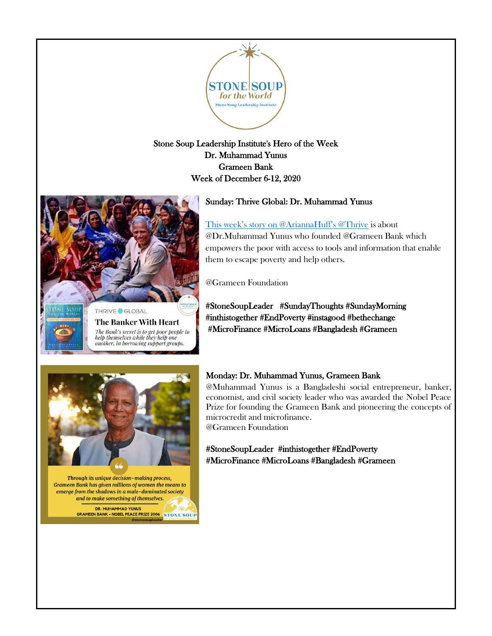

Stone Soup Leadership Institute's Hero of the Week Dr. Muhammad Yunus Grameen Bank Week of December 6-12, 2020

# Sunday: Thrive Global: Dr. Muhammad Yunus

[This week's story on @AriannaHuff's @Thrive](https://thriveglobal.com/stories/the-banker-with-heart/) is about @Dr.Muhammad Yunus who founded @Grameen Bank which empowers the poor with access to tools and information that enable them to escape poverty and help others.

@Grameen Foundation

#StoneSoupLeader #SundayThoughts #SundayMorning #inthistogether #EndPoverty #instagood #bethechange #MicroFinance #MicroLoans #Bangladesh #Grameen



Through its unique decision-making process, Grameen Bank has given millions of women the means to emerge from the shadows in a male-dominated society and to make something of themselves.

> DR. MUHAMMAD YUNUS **GRAMEEN BANK . NOBEL PEACE PRIZE 2006 STONE SOUP**

### Monday: Dr. Muhammad Yunus, Grameen Bank

@Muhammad Yunus is a Bangladeshi social entrepreneur, banker, economist, and civil society leader who was awarded the Nobel Peace Prize for founding the Grameen Bank and pioneering the concepts of microcredit and microfinance. @Grameen Foundation

#StoneSoupLeader #inthistogether #EndPoverty #MicroFinance #MicroLoans #Bangladesh #Grameen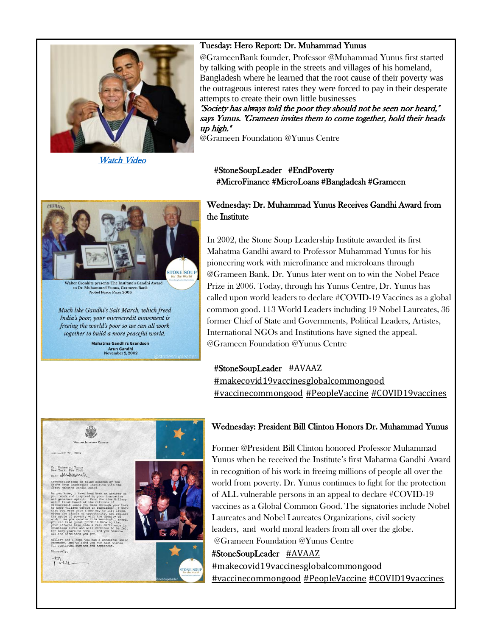

#### Tuesday: Hero Report: Dr. Muhammad Yunus

@GrameenBank founder, Professor @Muhammad Yunus first started by talking with people in the streets and villages of his homeland, Bangladesh where he learned that the root cause of their poverty was the outrageous interest rates they were forced to pay in their desperate attempts to create their own little businesses

"Society has always told the poor they should not be seen nor heard," says Yunus. "Grameen invites them to come together, hold their heads up high."

@Grameen Foundation @Yunus Centre

[Watch Video](https://www.youtube.com/watch?v=O4YDaPZvU10) 

#StoneSoupLeader #EndPoverty #MicroFinance #MicroLoans #Bangladesh #Grameen



Walter Cronkite presents The Institute's Gandhi Award to Dr. Muha nmed Yunus, Grameen Bank ce Prize 2006 Nobel Pea

Much like Gandhi's Salt March, which freed India's poor, your microcredit movement is freeing the world's poor so we can all work together to build a more peaceful world.

> Mahatma Gandhi's Grandson **Arun Gandhi**<br>November 2, 2002

## Wednesday: Dr. Muhammad Yunus Receives Gandhi Award from the Institute

In 2002, the Stone Soup Leadership Institute awarded its first Mahatma Gandhi award to Professor Muhammad Yunus for his pioneering work with microfinance and microloans through @Grameen Bank. Dr. Yunus later went on to win the Nobel Peace Prize in 2006. Today, through his Yunus Centre, Dr. Yunus has called upon world leaders to declare #COVID-19 Vaccines as a global common good. 113 World Leaders including 19 Nobel Laureates, 36 former Chief of State and Governments, Political Leaders, Artistes, International NGOs and Institutions have signed the appeal. @Grameen Foundation @Yunus Centre

### #StoneSoupLeader [#AVAAZ](https://www.facebook.com/hashtag/avaaz?__eep__=6&__cft__%5b0%5d=AZUTNKwehZURrdB-cwFq0z3ACCf50RlFAvJVYu5QCOOkkYliGzyDHlyVfiLEzat6GyiGDcgSTVItRKw7IikWPuApnDYrc3dADckztKe9sIPofEPkOpEcUBvqpHGyUDLU-9G9naIfC1u2meUEIfrgrrwv&__tn__=*NK-R)

[#makecovid19vaccinesglobalcommongood](https://www.facebook.com/hashtag/makecovid19vaccinesglobalcommongood?__eep__=6&__cft__%5b0%5d=AZUTNKwehZURrdB-cwFq0z3ACCf50RlFAvJVYu5QCOOkkYliGzyDHlyVfiLEzat6GyiGDcgSTVItRKw7IikWPuApnDYrc3dADckztKe9sIPofEPkOpEcUBvqpHGyUDLU-9G9naIfC1u2meUEIfrgrrwv&__tn__=*NK-R) [#vaccinecommongood](https://www.facebook.com/hashtag/vaccinecommongood?__eep__=6&__cft__%5b0%5d=AZUTNKwehZURrdB-cwFq0z3ACCf50RlFAvJVYu5QCOOkkYliGzyDHlyVfiLEzat6GyiGDcgSTVItRKw7IikWPuApnDYrc3dADckztKe9sIPofEPkOpEcUBvqpHGyUDLU-9G9naIfC1u2meUEIfrgrrwv&__tn__=*NK-R) [#PeopleVaccine](https://www.facebook.com/hashtag/peoplevaccine?__eep__=6&__cft__%5b0%5d=AZUTNKwehZURrdB-cwFq0z3ACCf50RlFAvJVYu5QCOOkkYliGzyDHlyVfiLEzat6GyiGDcgSTVItRKw7IikWPuApnDYrc3dADckztKe9sIPofEPkOpEcUBvqpHGyUDLU-9G9naIfC1u2meUEIfrgrrwv&__tn__=*NK-R) [#COVID19vaccines](https://www.facebook.com/hashtag/covid19vaccines?__eep__=6&__cft__%5b0%5d=AZUTNKwehZURrdB-cwFq0z3ACCf50RlFAvJVYu5QCOOkkYliGzyDHlyVfiLEzat6GyiGDcgSTVItRKw7IikWPuApnDYrc3dADckztKe9sIPofEPkOpEcUBvqpHGyUDLU-9G9naIfC1u2meUEIfrgrrwv&__tn__=*NK-R)



# Wednesday: President Bill Clinton Honors Dr. Muhammad Yunus

Former @President Bill Clinton honored Professor Muhammad Yunus when he received the Institute's first Mahatma Gandhi Award in recognition of his work in freeing millions of people all over the world from poverty. Dr. Yunus continues to fight for the protection of ALL vulnerable persons in an appeal to declare #COVID-19 vaccines as a Global Common Good. The signatories include Nobel Laureates and Nobel Laureates Organizations, civil society leaders, and world moral leaders from all over the globe. @Grameen Foundation @Yunus Centre

#StoneSoupLeader [#AVAAZ](https://www.facebook.com/hashtag/avaaz?__eep__=6&__cft__%5b0%5d=AZUTNKwehZURrdB-cwFq0z3ACCf50RlFAvJVYu5QCOOkkYliGzyDHlyVfiLEzat6GyiGDcgSTVItRKw7IikWPuApnDYrc3dADckztKe9sIPofEPkOpEcUBvqpHGyUDLU-9G9naIfC1u2meUEIfrgrrwv&__tn__=*NK-R) [#makecovid19vaccinesglobalcommongood](https://www.facebook.com/hashtag/makecovid19vaccinesglobalcommongood?__eep__=6&__cft__%5b0%5d=AZUTNKwehZURrdB-cwFq0z3ACCf50RlFAvJVYu5QCOOkkYliGzyDHlyVfiLEzat6GyiGDcgSTVItRKw7IikWPuApnDYrc3dADckztKe9sIPofEPkOpEcUBvqpHGyUDLU-9G9naIfC1u2meUEIfrgrrwv&__tn__=*NK-R) [#vaccinecommongood](https://www.facebook.com/hashtag/vaccinecommongood?__eep__=6&__cft__%5b0%5d=AZUTNKwehZURrdB-cwFq0z3ACCf50RlFAvJVYu5QCOOkkYliGzyDHlyVfiLEzat6GyiGDcgSTVItRKw7IikWPuApnDYrc3dADckztKe9sIPofEPkOpEcUBvqpHGyUDLU-9G9naIfC1u2meUEIfrgrrwv&__tn__=*NK-R) [#PeopleVaccine](https://www.facebook.com/hashtag/peoplevaccine?__eep__=6&__cft__%5b0%5d=AZUTNKwehZURrdB-cwFq0z3ACCf50RlFAvJVYu5QCOOkkYliGzyDHlyVfiLEzat6GyiGDcgSTVItRKw7IikWPuApnDYrc3dADckztKe9sIPofEPkOpEcUBvqpHGyUDLU-9G9naIfC1u2meUEIfrgrrwv&__tn__=*NK-R) [#COVID19vaccines](https://www.facebook.com/hashtag/covid19vaccines?__eep__=6&__cft__%5b0%5d=AZUTNKwehZURrdB-cwFq0z3ACCf50RlFAvJVYu5QCOOkkYliGzyDHlyVfiLEzat6GyiGDcgSTVItRKw7IikWPuApnDYrc3dADckztKe9sIPofEPkOpEcUBvqpHGyUDLU-9G9naIfC1u2meUEIfrgrrwv&__tn__=*NK-R)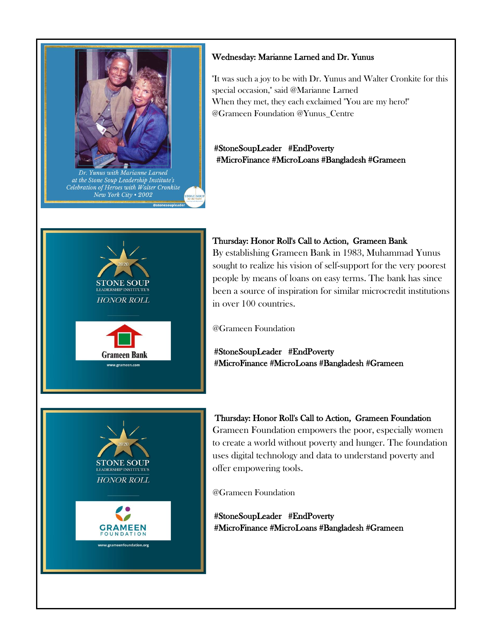

### Wednesday: Marianne Larned and Dr. Yunus

"It was such a joy to be with Dr. Yunus and Walter Cronkite for this special occasion," said @Marianne Larned When they met, they each exclaimed "You are my hero!" @Grameen Foundation @Yunus\_Centre

# #StoneSoupLeader #EndPoverty #MicroFinance #MicroLoans #Bangladesh #Grameen



### Thursday: Honor Roll's Call to Action, Grameen Bank

By establishing Grameen Bank in 1983, Muhammad Yunus sought to realize his vision of self-support for the very poorest people by means of loans on easy terms. The bank has since been a source of inspiration for similar microcredit institutions in over 100 countries.

@Grameen Foundation

#StoneSoupLeader #EndPoverty #MicroFinance #MicroLoans #Bangladesh #Grameen



 Thursday: Honor Roll's Call to Action, Grameen Foundation Grameen Foundation empowers the poor, especially women to create a world without poverty and hunger. The foundation uses digital technology and data to understand poverty and offer empowering tools.

@Grameen Foundation

#StoneSoupLeader #EndPoverty #MicroFinance #MicroLoans #Bangladesh #Grameen